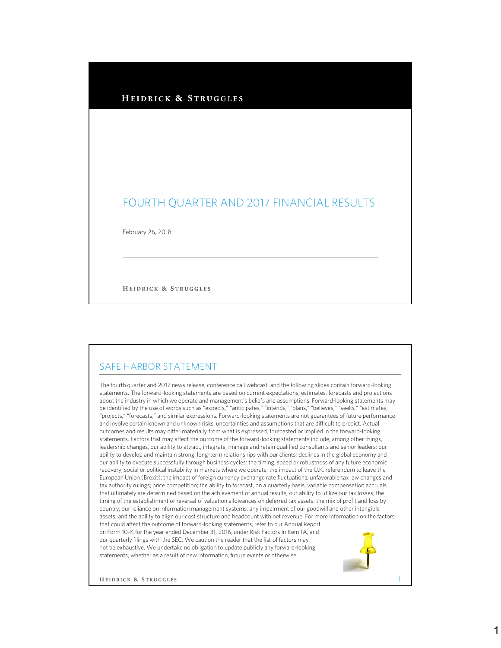#### HEIDRICK & STRUGGLES

# FOURTH QUARTER AND 2017 FINANCIAL RESULTS

February 26, 2018

HEIDRICK & STRUGGLES

#### SAFE HARBOR STATEMENT

The fourth quarter and 2017 news release, conference call webcast, and the following slides contain forward-looking statements. The forward-looking statements are based on current expectations, estimates, forecasts and projections about the industry in which we operate and management's beliefs and assumptions. Forward-looking statements may be identified by the use of words such as "expects," "anticipates," "intends," "plans," "believes," "seeks," "estimates," "projects," "forecasts," and similar expressions. Forward-looking statements are not guarantees of future performance and involve certain known and unknown risks, uncertainties and assumptions that are difficult to predict. Actual outcomes and results may differ materially from what is expressed, forecasted or implied in the forward-looking statements. Factors that may affect the outcome of the forward-looking statements include, among other things, leadership changes, our ability to attract, integrate, manage and retain qualified consultants and senior leaders; our ability to develop and maintain strong, long-term relationships with our clients; declines in the global economy and our ability to execute successfully through business cycles; the timing, speed or robustness of any future economic recovery; social or political instability in markets where we operate; the impact of the U.K. referendum to leave the European Union (Brexit); the impact of foreign currency exchange rate fluctuations; unfavorable tax law changes and tax authority rulings; price competition; the ability to forecast, on a quarterly basis, variable compensation accruals that ultimately are determined based on the achievement of annual results; our ability to utilize our tax losses; the timing of the establishment or reversal of valuation allowances on deferred tax assets; the mix of profit and loss by country; our reliance on information management systems; any impairment of our goodwill and other intangible assets; and the ability to align our cost structure and headcount with net revenue. For more information on the factors that could affect the outcome of forward-looking statements, refer to our Annual Report on Form 10-K for the year ended December 31, 2016, under Risk Factors in Item 1A, and our quarterly filings with the SEC. We caution the reader that the list of factors may not be exhaustive. We undertake no obligation to update publicly any forward-looking statements, whether as a result of new information, future events or otherwise.

**HEIDRICK & STRUGGLES** 

1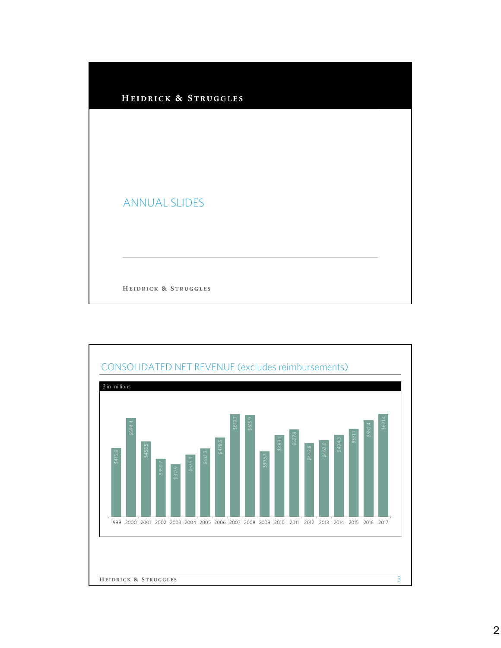

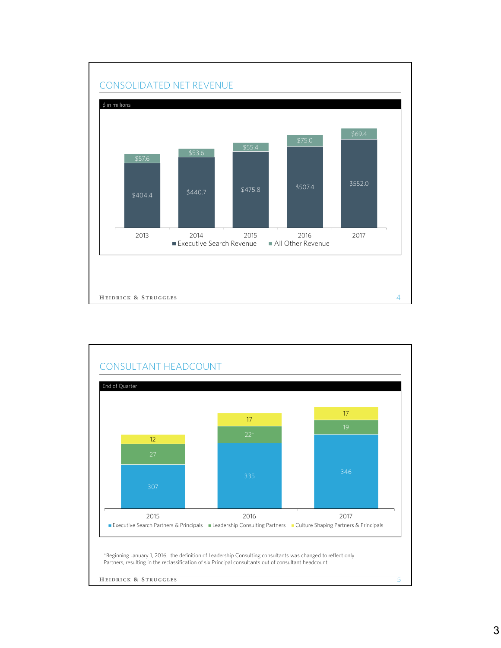

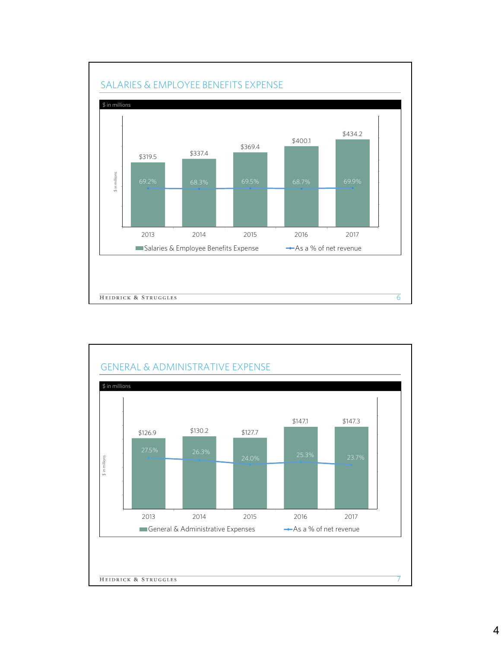

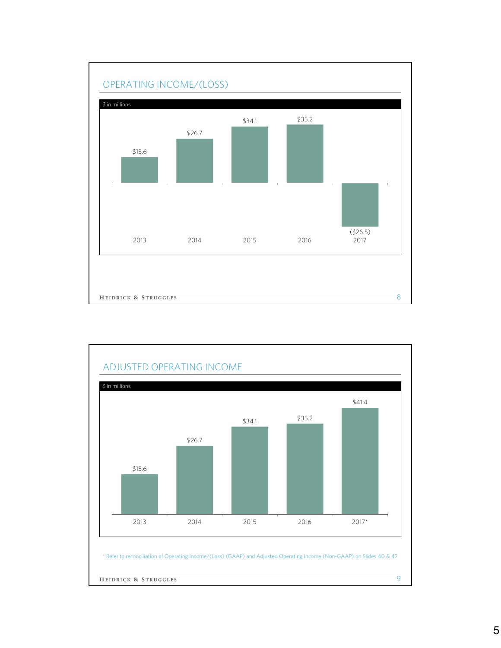

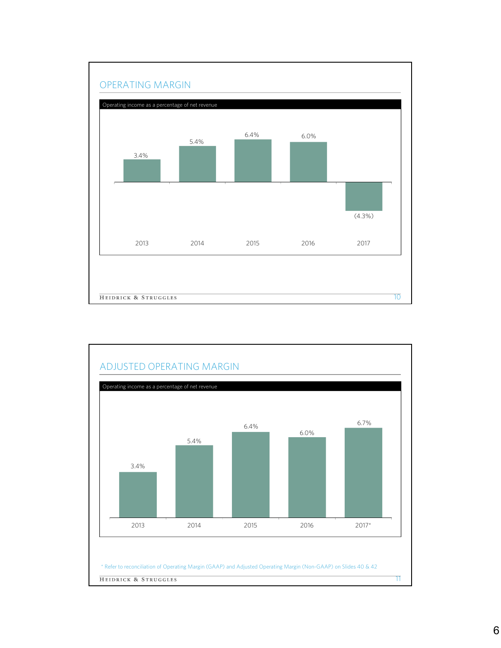

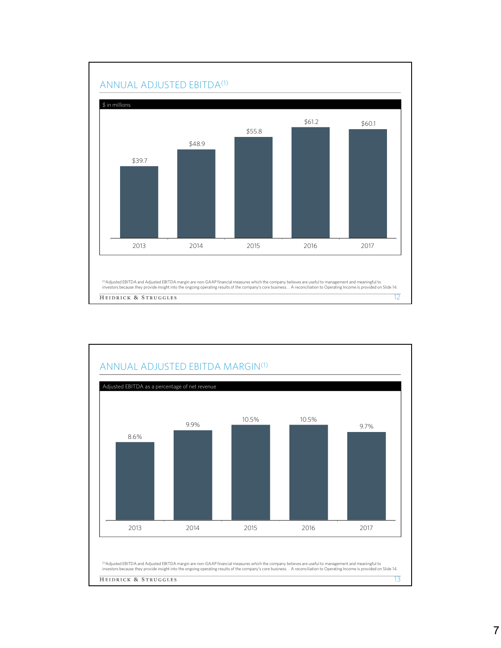

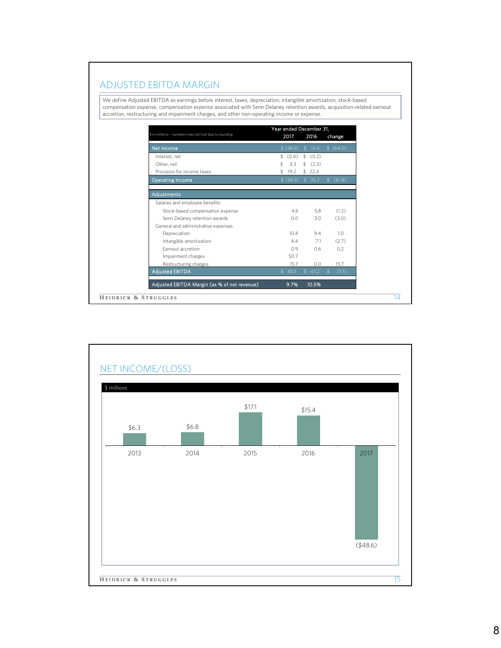#### ADJUSTED EBITDA MARGIN

We define Adjusted EBITDA as earnings before interest, taxes, depreciation, intangible amortization, stock-based compensation expense, compensation expense associated with Senn Delaney retention awards, acquisition-related earnout accretion, restructuring and impairment charges, and other non-operating income or expense.

| \$ in millions-- numbers may not foot due to rounding | Year ended December 31,<br>2017<br>2016 |                       |                        |
|-------------------------------------------------------|-----------------------------------------|-----------------------|------------------------|
|                                                       |                                         |                       | change                 |
| Net Income                                            | \$(48.6)                                | \$15.4                | \$ (64.0)              |
| Interest, net                                         | \$ (0.4)                                | \$ (0.2)              |                        |
| Other, net                                            | 3.3<br>\$                               | \$ (2.3)              |                        |
| Provision for income taxes                            | 19.2<br>\$                              | \$22.4                |                        |
| <b>Operating Income</b>                               | \$(26.5)                                | \$35.2                | \$ (61.8)              |
| Adjustments                                           |                                         |                       |                        |
| Salaries and employee benefits                        |                                         |                       |                        |
| Stock-based compensation expense                      | 4.6                                     | 5.8                   | (1.2)                  |
| Senn Delaney retention awards                         | 0.0                                     | 3.0                   | (3.0)                  |
| General and administrative expenses                   |                                         |                       |                        |
| Depreciation                                          | 10.4                                    | 9.4                   | 1.0                    |
| Intangible amortization                               | 4.4                                     | 7.1                   | (2.7)                  |
| <b>Earnout accretion</b>                              | 0.9                                     | 0.6                   | 0.2                    |
| Impairment charges                                    | 50.7                                    |                       |                        |
| Restructuring charges                                 | 15.7                                    | 0.0                   | 15.7                   |
| <b>Adjusted EBITDA</b>                                | 60.1<br>$\mathcal{L}$                   | 61.2<br>$\mathcal{L}$ | (1.1)<br>$\mathcal{L}$ |
| Adjusted EBITDA Margin (as % of net revenue)          | 9.7%                                    | 10.5%                 |                        |
| HEIDRICK & STRUGGLES                                  |                                         |                       |                        |

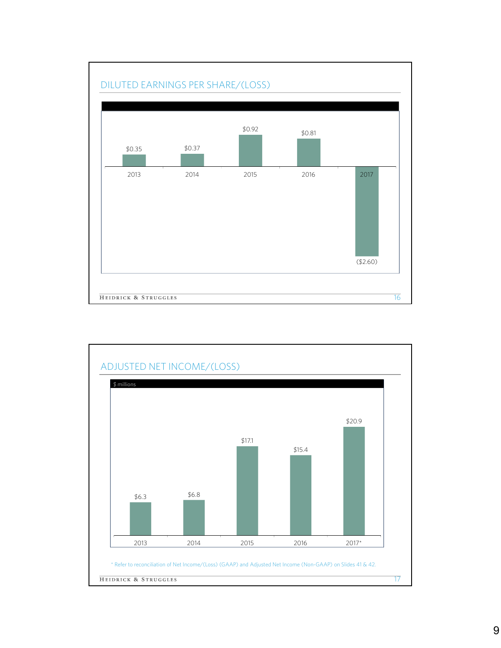

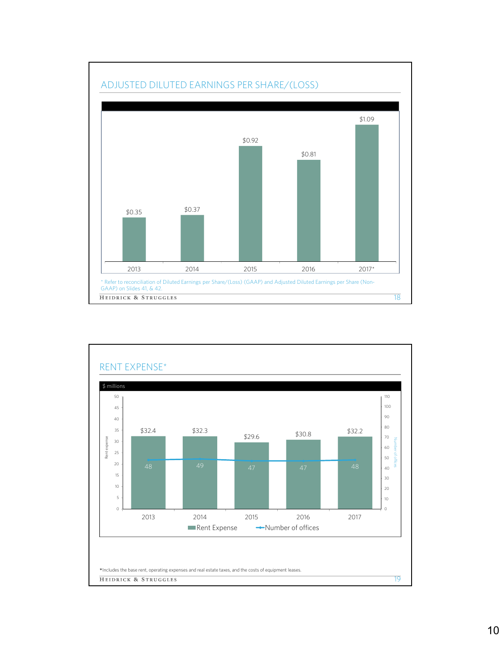

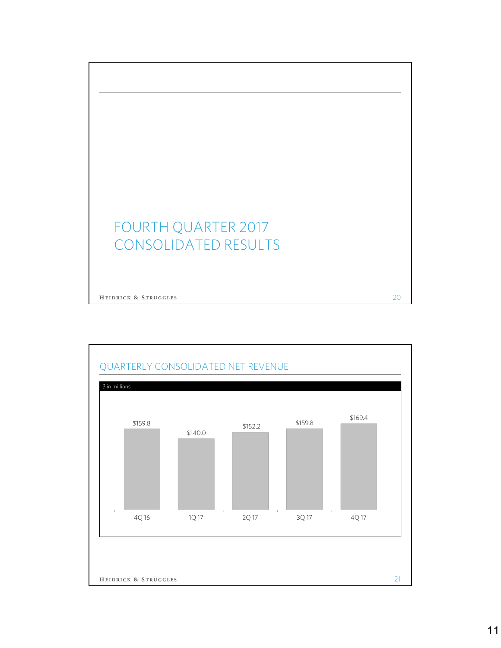

HEIDRICK & STRUGGLES

# FOURTH QUARTER 2017 CONSOLIDATED RESULTS

20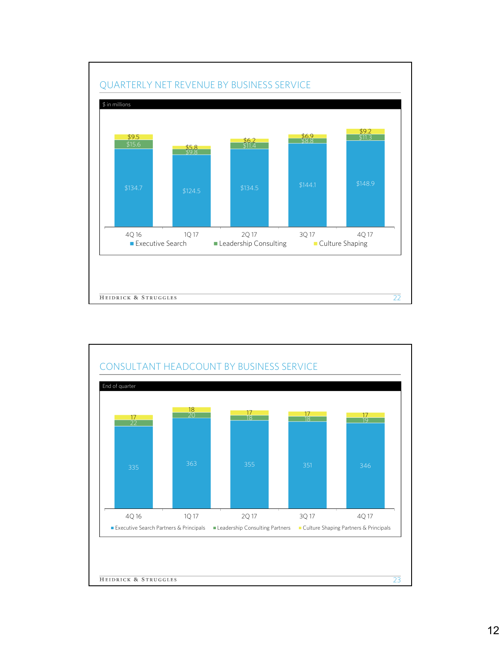

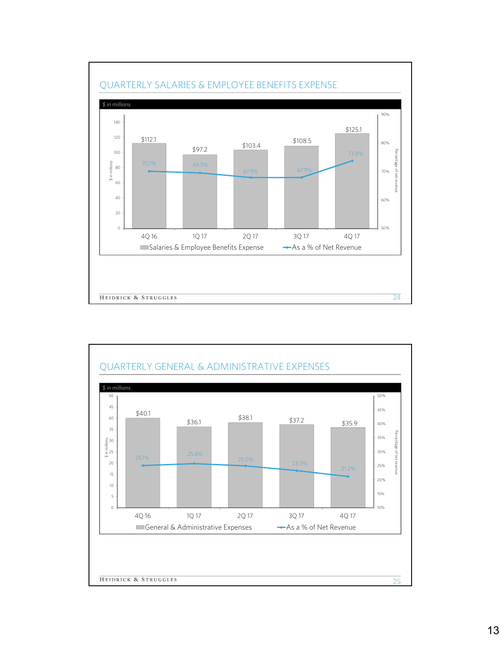

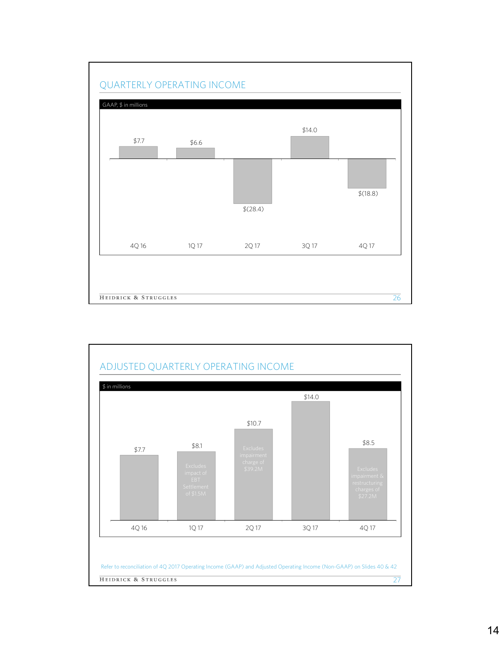

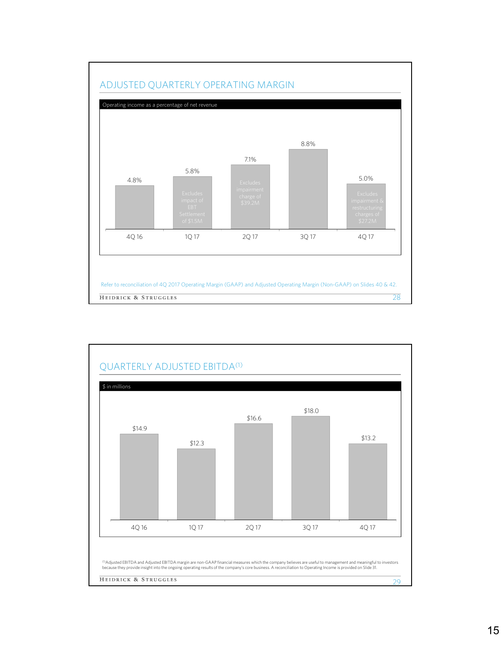

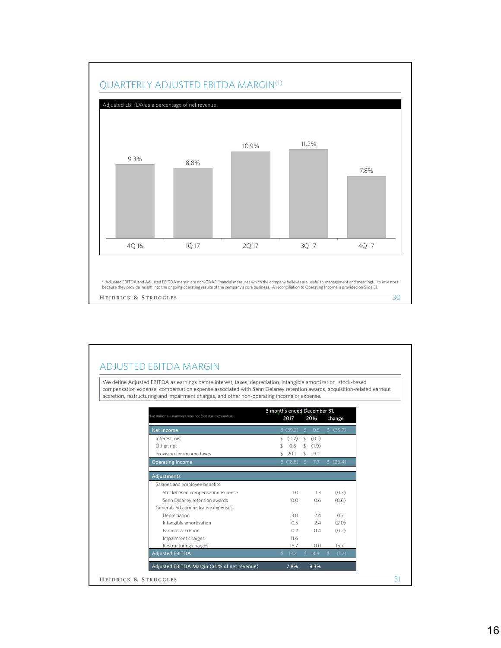

#### ADJUSTED EBITDA MARGIN

We define Adjusted EBITDA as earnings before interest, taxes, depreciation, intangible amortization, stock-based compensation expense, compensation expense associated with Senn Delaney retention awards, acquisition-related earnout accretion, restructuring and impairment charges, and other non-operating income or expense.

|                                                        | 3 months ended December 31, |           |                  |        |               |           |
|--------------------------------------------------------|-----------------------------|-----------|------------------|--------|---------------|-----------|
| \$ in millions -- numbers may not foot due to rounding |                             | 2017      |                  | 2016   |               | change    |
| Net Income                                             |                             | \$ (39.2) | S.               | 0.5    |               | \$ (39.7) |
| Interest, net                                          | \$.                         | (0.2)     | $\mathfrak{L}^-$ | (0.1)  |               |           |
| Other, net                                             |                             | 0.5       | $\mathfrak{L}^-$ | (1.9)  |               |           |
| Provision for income taxes                             | \$                          | 20.1      | \$               | 9.1    |               |           |
| <b>Operating Income</b>                                |                             | \$(18.8)  | $\mathfrak{s}$   | 7.7    |               | \$(26.4)  |
|                                                        |                             |           |                  |        |               |           |
| <b>Adjustments</b>                                     |                             |           |                  |        |               |           |
| Salaries and employee benefits                         |                             |           |                  |        |               |           |
| Stock-based compensation expense                       |                             | 1.0       |                  | 1.3    |               | (0.3)     |
| Senn Delaney retention awards                          |                             | 0.0       |                  | 0.6    |               | (0.6)     |
| General and administrative expenses                    |                             |           |                  |        |               |           |
| Depreciation                                           |                             | 3.0       |                  | 7.4    |               | 0.7       |
| Intangible amortization                                |                             | 0.5       |                  | 2.4    |               | (2.0)     |
| <b>Earnout accretion</b>                               |                             | 0.2       |                  | 0.4    |               | (0.2)     |
| Impairment charges                                     |                             | 11.6      |                  |        |               |           |
| Restructuring charges                                  |                             | 15.7      |                  | 0.0    |               | 15.7      |
| <b>Adjusted EBITDA</b>                                 | $\mathcal{L}$               | 13.2      |                  | \$14.9 | $\mathcal{L}$ | (1.7)     |
| Adjusted EBITDA Margin (as % of net revenue)           |                             | 7.8%      |                  | 9.3%   |               |           |
| HEIDRICK & STRUGGLES                                   |                             |           |                  |        |               |           |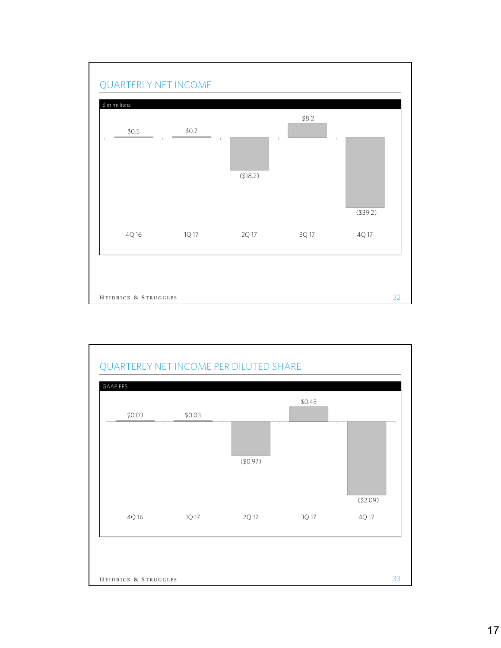

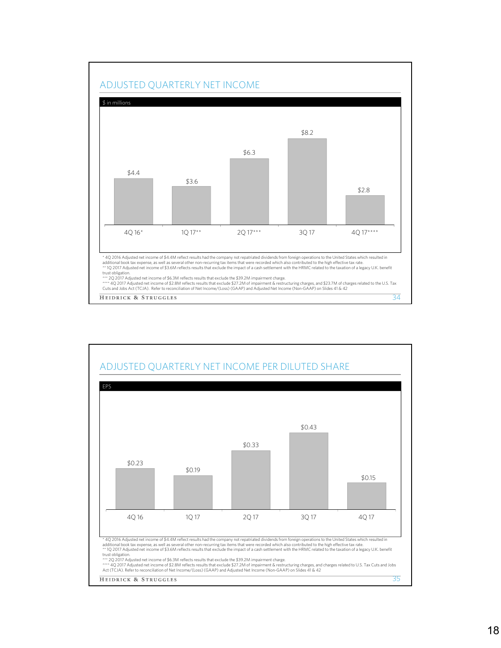

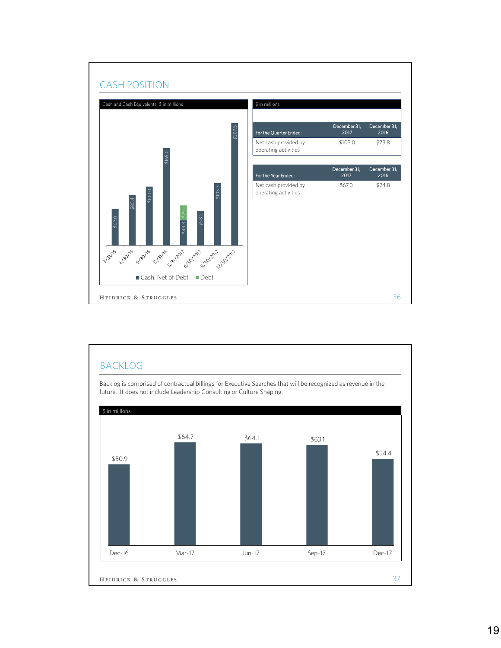

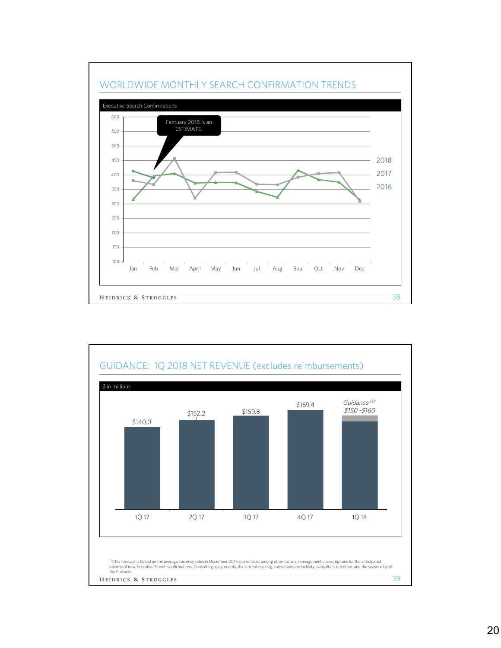



## 20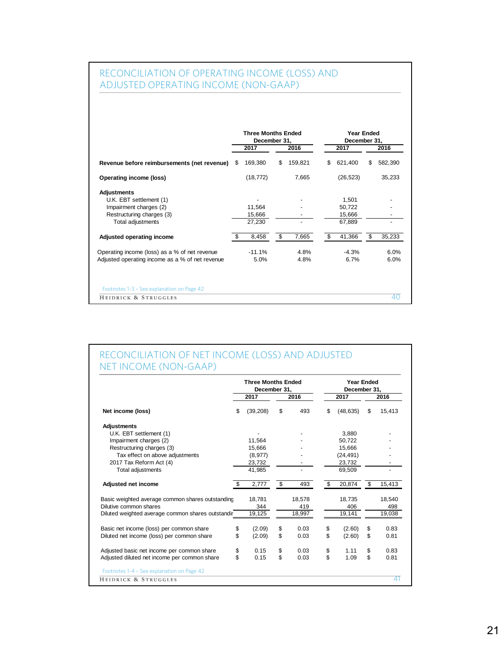## RECONCILIATION OF OPERATING INCOME (LOSS) AND ADJUSTED OPERATING INCOME (NON-GAAP)

| Revenue before reimbursements (net revenue)<br>Operating income (loss) | S  | 2017      | 2016          |     | 2017      |    |         |
|------------------------------------------------------------------------|----|-----------|---------------|-----|-----------|----|---------|
|                                                                        |    |           |               |     |           |    | 2016    |
|                                                                        |    | 169,380   | \$<br>159,821 | \$  | 621,400   | S  | 582,390 |
|                                                                        |    | (18, 772) | 7,665         |     | (26, 523) |    | 35,233  |
| <b>Adjustments</b>                                                     |    |           |               |     |           |    |         |
| U.K. EBT settlement (1)                                                |    |           |               |     | 1,501     |    |         |
| Impairment charges (2)                                                 |    | 11,564    |               |     | 50,722    |    |         |
| Restructuring charges (3)                                              |    | 15,666    |               |     | 15,666    |    |         |
| Total adjustments                                                      |    | 27,230    |               |     | 67,889    |    |         |
| Adjusted operating income                                              | \$ | 8,458     | \$<br>7,665   | \$. | 41,366    | \$ | 35,233  |
| Operating income (loss) as a % of net revenue                          |    | $-11.1%$  | 4.8%          |     | $-4.3%$   |    | 6.0%    |
| Adjusted operating income as a % of net revenue                        |    | 5.0%      | 4.8%          |     | 6.7%      |    | 6.0%    |
| Footnotes 1-3 - See explanation on Page 42                             |    |           |               |     |           |    |         |
| HEIDRICK & STRUGGLES                                                   |    |           |               |     |           |    | 40      |

#### RECONCILIATION OF NET INCOME (LOSS) AND ADJUSTED NET INCOME (NON-GAAP)

|                                                   | <b>Three Months Ended</b><br>December 31, |            | <b>Year Ended</b><br>December 31, |              |
|---------------------------------------------------|-------------------------------------------|------------|-----------------------------------|--------------|
|                                                   | 2017                                      | 2016       | 2017                              | 2016         |
| Net income (loss)                                 | \$<br>(39, 208)                           | \$<br>493  | \$<br>(48, 635)                   | \$<br>15,413 |
| <b>Adjustments</b>                                |                                           |            |                                   |              |
| U.K. EBT settlement (1)                           |                                           |            | 3.880                             |              |
| Impairment charges (2)                            | 11.564                                    |            | 50.722                            |              |
| Restructuring charges (3)                         | 15,666                                    |            | 15.666                            |              |
| Tax effect on above adjustments                   | (8,977)                                   |            | (24, 491)                         |              |
| 2017 Tax Reform Act (4)                           | 23,732                                    |            | 23,732                            |              |
| Total adjustments                                 | 41.985                                    |            | 69.509                            |              |
| Adjusted net income                               | \$<br>2,777                               | \$<br>493  | \$<br>20,874                      | \$<br>15,413 |
| Basic weighted average common shares outstanding  | 18.781                                    | 18,578     | 18.735                            | 18,540       |
| Dilutive common shares                            | 344                                       | 419        | 406                               | 498          |
| Diluted weighted average common shares outstandir | 19,125                                    | 18,997     | 19,141                            | 19,038       |
| Basic net income (loss) per common share          | \$<br>(2.09)                              | \$<br>0.03 | \$<br>(2.60)                      | \$<br>0.83   |
| Diluted net income (loss) per common share        | \$<br>(2.09)                              | \$<br>0.03 | \$<br>(2.60)                      | \$<br>0.81   |
| Adjusted basic net income per common share        | \$<br>0.15                                | \$<br>0.03 | \$<br>1.11                        | \$<br>0.83   |
| Adjusted diluted net income per common share      | \$<br>0.15                                | \$<br>0.03 | \$<br>1.09                        | \$<br>0.81   |
| Footnotes 1-4 - See explanation on Page 42        |                                           |            |                                   |              |
| HEIDRICK & STRUGGLES                              |                                           |            |                                   | 41           |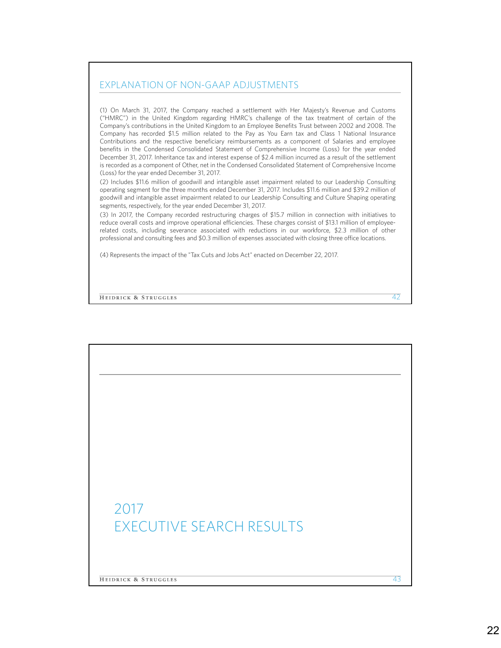#### EXPLANATION OF NON-GAAP ADJUSTMENTS

(1) On March 31, 2017, the Company reached a settlement with Her Majesty's Revenue and Customs ("HMRC") in the United Kingdom regarding HMRC's challenge of the tax treatment of certain of the Company's contributions in the United Kingdom to an Employee Benefits Trust between 2002 and 2008. The Company has recorded \$1.5 million related to the Pay as You Earn tax and Class 1 National Insurance Contributions and the respective beneficiary reimbursements as a component of Salaries and employee benefits in the Condensed Consolidated Statement of Comprehensive Income (Loss) for the year ended December 31, 2017. Inheritance tax and interest expense of \$2.4 million incurred as a result of the settlement is recorded as a component of Other, net in the Condensed Consolidated Statement of Comprehensive Income (Loss) for the year ended December 31, 2017.

(2) Includes \$11.6 million of goodwill and intangible asset impairment related to our Leadership Consulting operating segment for the three months ended December 31, 2017. Includes \$11.6 million and \$39.2 million of goodwill and intangible asset impairment related to our Leadership Consulting and Culture Shaping operating segments, respectively, for the year ended December 31, 2017.

(3) In 2017, the Company recorded restructuring charges of \$15.7 million in connection with initiatives to reduce overall costs and improve operational efficiencies. These charges consist of \$13.1 million of employeerelated costs, including severance associated with reductions in our workforce, \$2.3 million of other professional and consulting fees and \$0.3 million of expenses associated with closing three office locations.

42

(4) Represents the impact of the "Tax Cuts and Jobs Act" enacted on December 22, 2017.

HEIDRICK & STRUGGLES

2017 EXECUTIVE SEARCH RESULTS **HEIDRICK & STRUGGLES** 43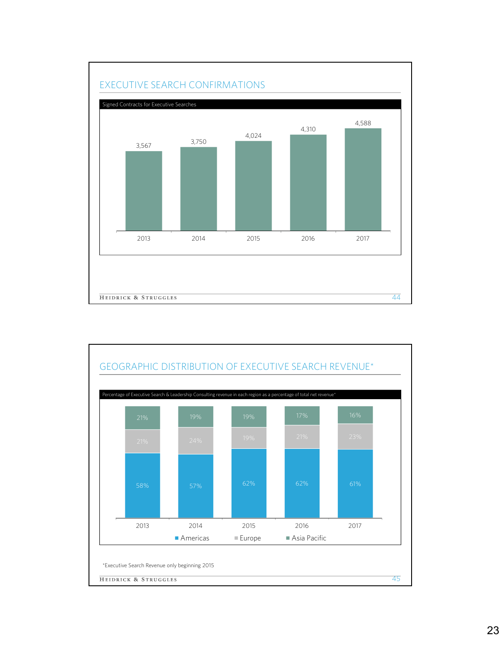

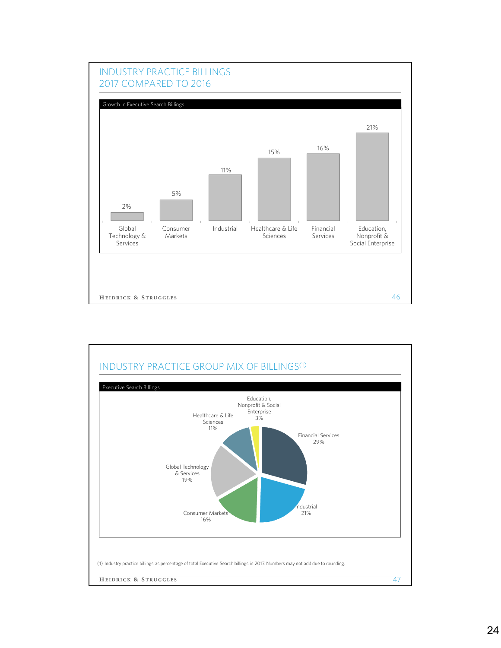

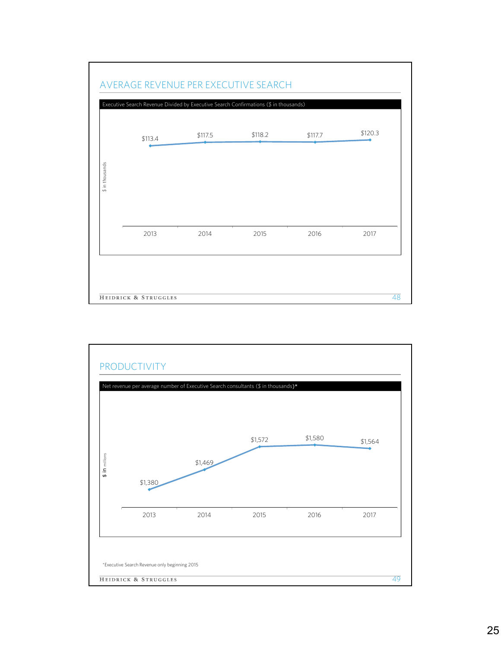

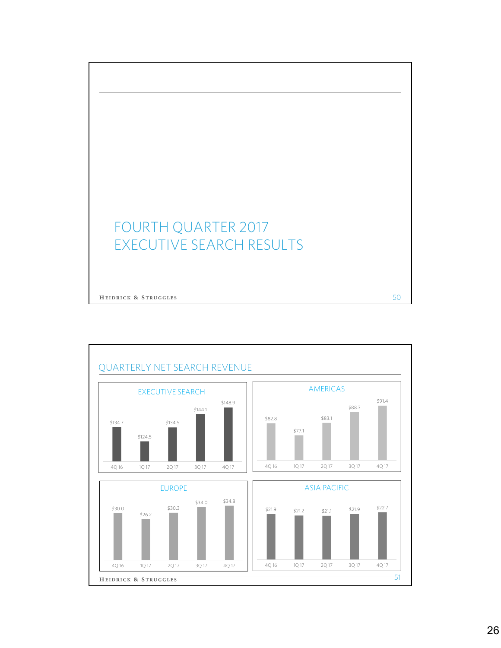# FOURTH QUARTER 2017 EXECUTIVE SEARCH RESULTS HEIDRICK & STRUGGLES 50

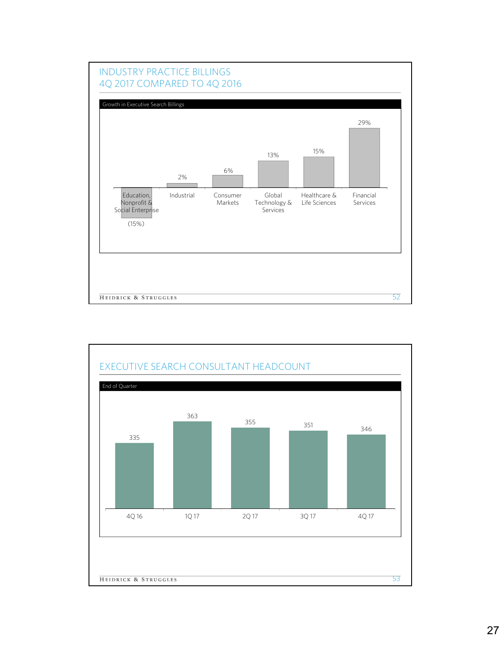

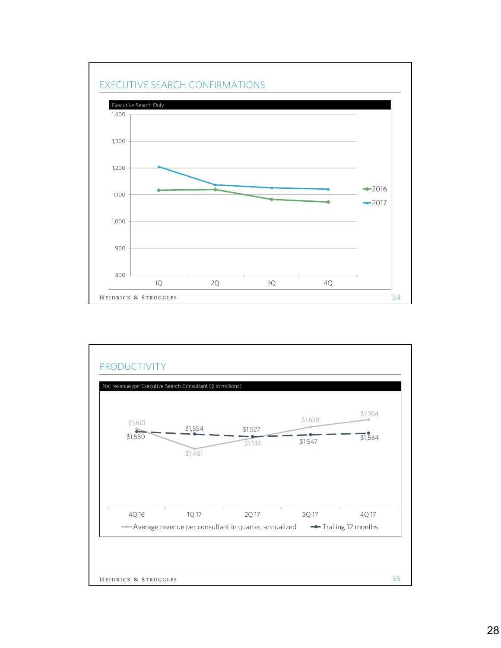